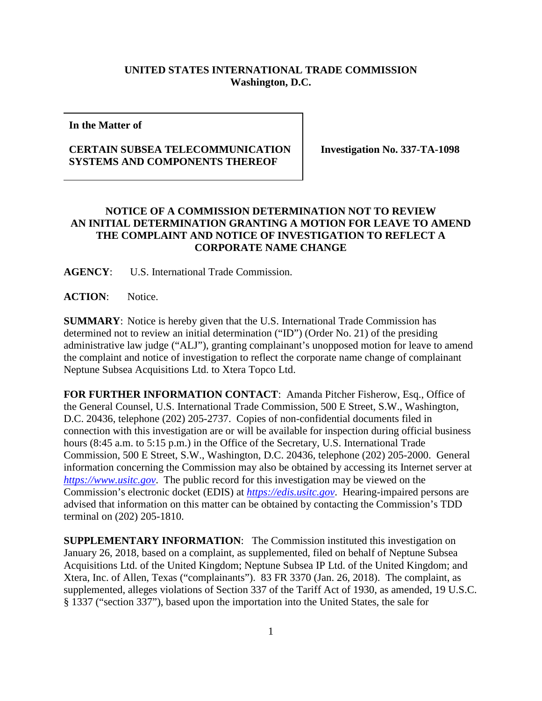## **UNITED STATES INTERNATIONAL TRADE COMMISSION Washington, D.C.**

**In the Matter of**

## **CERTAIN SUBSEA TELECOMMUNICATION SYSTEMS AND COMPONENTS THEREOF**

**Investigation No. 337-TA-1098**

## **NOTICE OF A COMMISSION DETERMINATION NOT TO REVIEW AN INITIAL DETERMINATION GRANTING A MOTION FOR LEAVE TO AMEND THE COMPLAINT AND NOTICE OF INVESTIGATION TO REFLECT A CORPORATE NAME CHANGE**

**AGENCY**: U.S. International Trade Commission.

**ACTION**: Notice.

**SUMMARY**: Notice is hereby given that the U.S. International Trade Commission has determined not to review an initial determination ("ID") (Order No. 21) of the presiding administrative law judge ("ALJ"), granting complainant's unopposed motion for leave to amend the complaint and notice of investigation to reflect the corporate name change of complainant Neptune Subsea Acquisitions Ltd. to Xtera Topco Ltd.

**FOR FURTHER INFORMATION CONTACT**: Amanda Pitcher Fisherow, Esq., Office of the General Counsel, U.S. International Trade Commission, 500 E Street, S.W., Washington, D.C. 20436, telephone (202) 205-2737. Copies of non-confidential documents filed in connection with this investigation are or will be available for inspection during official business hours (8:45 a.m. to 5:15 p.m.) in the Office of the Secretary, U.S. International Trade Commission, 500 E Street, S.W., Washington, D.C. 20436, telephone (202) 205-2000. General information concerning the Commission may also be obtained by accessing its Internet server at *[https://www.usitc.gov](https://www.usitc.gov/)*. The public record for this investigation may be viewed on the Commission's electronic docket (EDIS) at *[https://edis.usitc.gov](https://edis.usitc.gov/)*. Hearing-impaired persons are advised that information on this matter can be obtained by contacting the Commission's TDD terminal on (202) 205-1810.

**SUPPLEMENTARY INFORMATION**: The Commission instituted this investigation on January 26, 2018, based on a complaint, as supplemented, filed on behalf of Neptune Subsea Acquisitions Ltd. of the United Kingdom; Neptune Subsea IP Ltd. of the United Kingdom; and Xtera, Inc. of Allen, Texas ("complainants"). 83 FR 3370 (Jan. 26, 2018). The complaint, as supplemented, alleges violations of Section 337 of the Tariff Act of 1930, as amended, 19 U.S.C. § 1337 ("section 337"), based upon the importation into the United States, the sale for